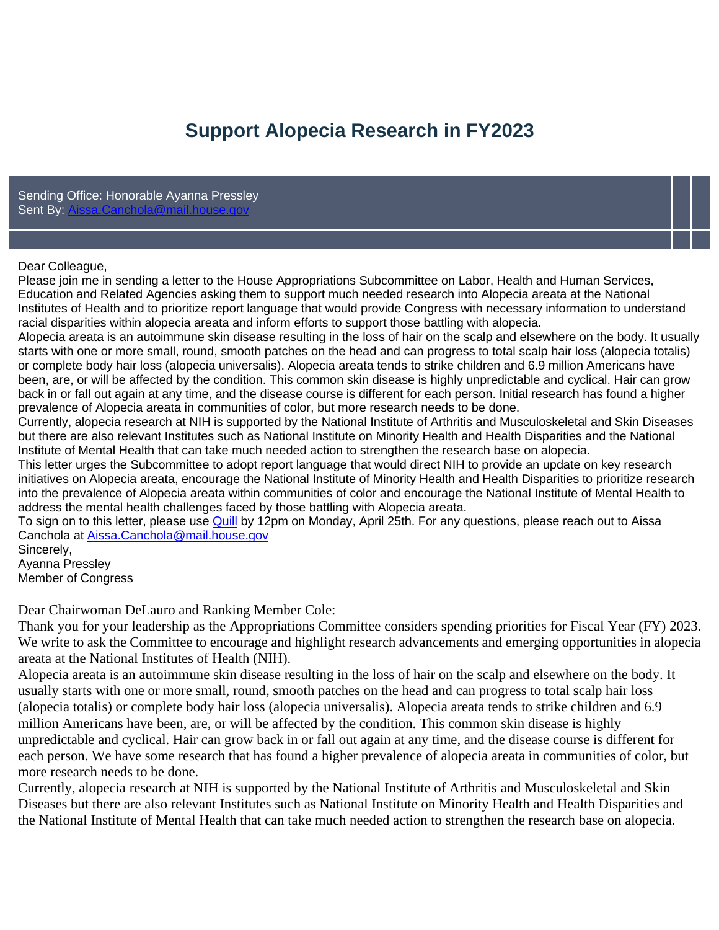# **Support Alopecia Research in FY2023**

Sending Office: Honorable Ayanna Pressley Sent By:

#### Dear Colleague,

Please join me in sending a letter to the House Appropriations Subcommittee on Labor, Health and Human Services, Education and Related Agencies asking them to support much needed research into Alopecia areata at the National Institutes of Health and to prioritize report language that would provide Congress with necessary information to understand racial disparities within alopecia areata and inform efforts to support those battling with alopecia.

Alopecia areata is an autoimmune skin disease resulting in the loss of hair on the scalp and elsewhere on the body. It usually starts with one or more small, round, smooth patches on the head and can progress to total scalp hair loss (alopecia totalis) or complete body hair loss (alopecia universalis). Alopecia areata tends to strike children and 6.9 million Americans have been, are, or will be affected by the condition. This common skin disease is highly unpredictable and cyclical. Hair can grow back in or fall out again at any time, and the disease course is different for each person. Initial research has found a higher prevalence of Alopecia areata in communities of color, but more research needs to be done.

Currently, alopecia research at NIH is supported by the National Institute of Arthritis and Musculoskeletal and Skin Diseases but there are also relevant Institutes such as National Institute on Minority Health and Health Disparities and the National Institute of Mental Health that can take much needed action to strengthen the research base on alopecia.

This letter urges the Subcommittee to adopt report language that would direct NIH to provide an update on key research initiatives on Alopecia areata, encourage the National Institute of Minority Health and Health Disparities to prioritize research into the prevalence of Alopecia areata within communities of color and encourage the National Institute of Mental Health to address the mental health challenges faced by those battling with Alopecia areata.

To sign on to this letter, please use [Quill](https://quill.senate.gov/letters/letter/3623/opt-in/view/a4ddef5a-fd09-4c65-8a47-cf52a03fcb29/) by 12pm on Monday, April 25th. For any questions, please reach out to Aissa Canchola at [Aissa.Canchola@mail.house.gov](mailto:Aissa.Canchola@mail.house.gov)

Sincerely, Ayanna Pressley Member of Congress

Dear Chairwoman DeLauro and Ranking Member Cole:

Thank you for your leadership as the Appropriations Committee considers spending priorities for Fiscal Year (FY) 2023. We write to ask the Committee to encourage and highlight research advancements and emerging opportunities in alopecia areata at the National Institutes of Health (NIH).

Alopecia areata is an autoimmune skin disease resulting in the loss of hair on the scalp and elsewhere on the body. It usually starts with one or more small, round, smooth patches on the head and can progress to total scalp hair loss (alopecia totalis) or complete body hair loss (alopecia universalis). Alopecia areata tends to strike children and 6.9 million Americans have been, are, or will be affected by the condition. This common skin disease is highly unpredictable and cyclical. Hair can grow back in or fall out again at any time, and the disease course is different for each person. We have some research that has found a higher prevalence of alopecia areata in communities of color, but more research needs to be done.

Currently, alopecia research at NIH is supported by the National Institute of Arthritis and Musculoskeletal and Skin Diseases but there are also relevant Institutes such as National Institute on Minority Health and Health Disparities and the National Institute of Mental Health that can take much needed action to strengthen the research base on alopecia.